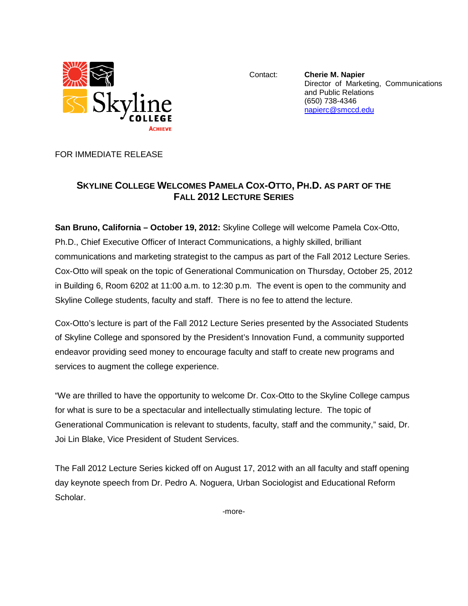

Contact: **Cherie M. Napier** Director of Marketing, Communications and Public Relations (650) 738-4346 [napierc@smccd.edu](mailto:napierc@smccd.edu)

FOR IMMEDIATE RELEASE

## **SKYLINE COLLEGE WELCOMES PAMELA COX-OTTO, PH.D. AS PART OF THE FALL 2012 LECTURE SERIES**

**San Bruno, California – October 19, 2012:** Skyline College will welcome Pamela Cox-Otto, Ph.D., Chief Executive Officer of Interact Communications, a highly skilled, brilliant communications and marketing strategist to the campus as part of the Fall 2012 Lecture Series. Cox-Otto will speak on the topic of Generational Communication on Thursday, October 25, 2012 in Building 6, Room 6202 at 11:00 a.m. to 12:30 p.m. The event is open to the community and Skyline College students, faculty and staff. There is no fee to attend the lecture.

Cox-Otto's lecture is part of the Fall 2012 Lecture Series presented by the Associated Students of Skyline College and sponsored by the President's Innovation Fund, a community supported endeavor providing seed money to encourage faculty and staff to create new programs and services to augment the college experience.

"We are thrilled to have the opportunity to welcome Dr. Cox-Otto to the Skyline College campus for what is sure to be a spectacular and intellectually stimulating lecture. The topic of Generational Communication is relevant to students, faculty, staff and the community," said, Dr. Joi Lin Blake, Vice President of Student Services.

The Fall 2012 Lecture Series kicked off on August 17, 2012 with an all faculty and staff opening day keynote speech from Dr. Pedro A. Noguera, Urban Sociologist and Educational Reform Scholar.

-more-